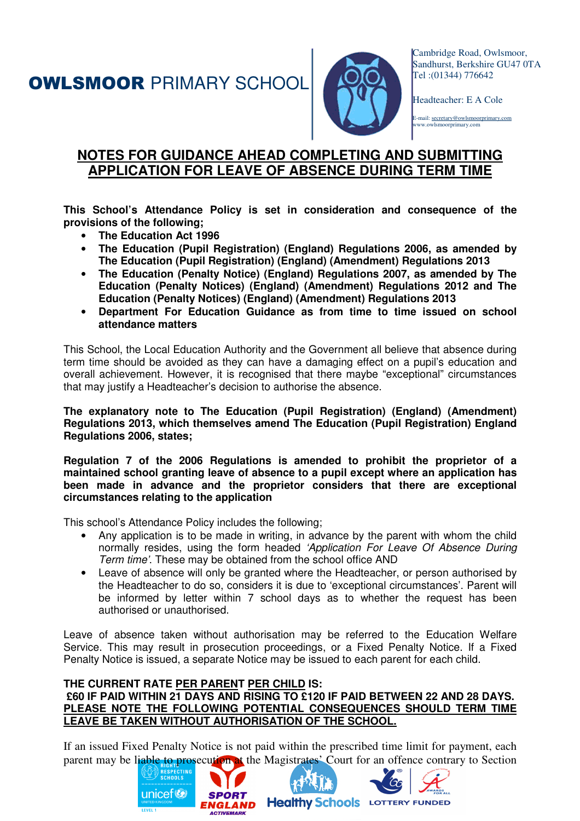**OWLSMOOR PRIMARY SCHOOL** 



Cambridge Road, Owlsmoor, Sandhurst, Berkshire GU47 0TA Tel :(01344) 776642

Headteacher: E A Cole

E-mail: secretary@owlsmoorprimary.com smoorprimary.com

## **NOTES FOR GUIDANCE AHEAD COMPLETING AND SUBMITTING APPLICATION FOR LEAVE OF ABSENCE DURING TERM TIME**

**This School's Attendance Policy is set in consideration and consequence of the provisions of the following;** 

- **The Education Act 1996**
- **The Education (Pupil Registration) (England) Regulations 2006, as amended by The Education (Pupil Registration) (England) (Amendment) Regulations 2013**
- **The Education (Penalty Notice) (England) Regulations 2007, as amended by The Education (Penalty Notices) (England) (Amendment) Regulations 2012 and The Education (Penalty Notices) (England) (Amendment) Regulations 2013**
- **Department For Education Guidance as from time to time issued on school attendance matters**

This School, the Local Education Authority and the Government all believe that absence during term time should be avoided as they can have a damaging effect on a pupil's education and overall achievement. However, it is recognised that there maybe "exceptional" circumstances that may justify a Headteacher's decision to authorise the absence.

**The explanatory note to The Education (Pupil Registration) (England) (Amendment) Regulations 2013, which themselves amend The Education (Pupil Registration) England Regulations 2006, states;** 

**Regulation 7 of the 2006 Regulations is amended to prohibit the proprietor of a maintained school granting leave of absence to a pupil except where an application has been made in advance and the proprietor considers that there are exceptional circumstances relating to the application** 

This school's Attendance Policy includes the following;

- Any application is to be made in writing, in advance by the parent with whom the child normally resides, using the form headed 'Application For Leave Of Absence During Term time'. These may be obtained from the school office AND
- Leave of absence will only be granted where the Headteacher, or person authorised by the Headteacher to do so, considers it is due to 'exceptional circumstances'. Parent will be informed by letter within 7 school days as to whether the request has been authorised or unauthorised.

Leave of absence taken without authorisation may be referred to the Education Welfare Service. This may result in prosecution proceedings, or a Fixed Penalty Notice. If a Fixed Penalty Notice is issued, a separate Notice may be issued to each parent for each child.

## **THE CURRENT RATE PER PARENT PER CHILD IS: £60 IF PAID WITHIN 21 DAYS AND RISING TO £120 IF PAID BETWEEN 22 AND 28 DAYS. PLEASE NOTE THE FOLLOWING POTENTIAL CONSEQUENCES SHOULD TERM TIME LEAVE BE TAKEN WITHOUT AUTHORISATION OF THE SCHOOL.**

If an issued Fixed Penalty Notice is not paid within the prescribed time limit for payment, each parent may be liable to prosecution at the Magistrates' Court for an offence contrary to Section

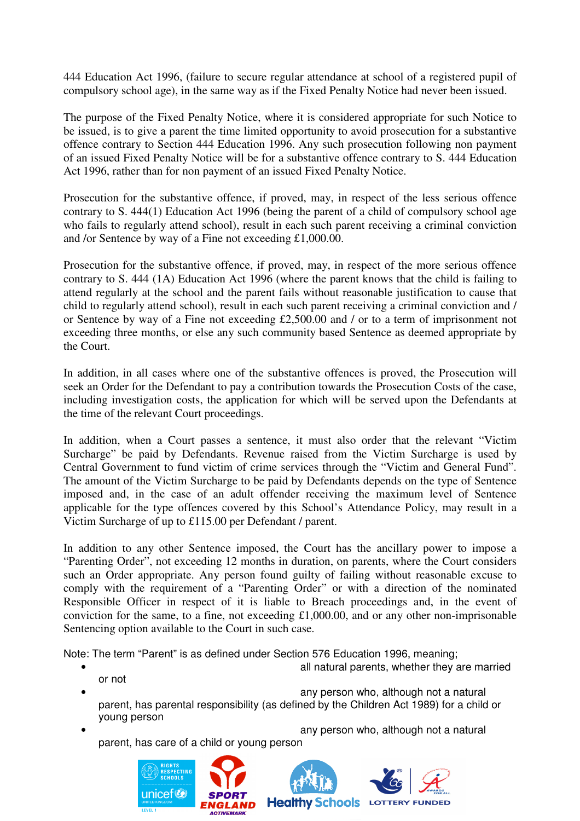444 Education Act 1996, (failure to secure regular attendance at school of a registered pupil of compulsory school age), in the same way as if the Fixed Penalty Notice had never been issued.

The purpose of the Fixed Penalty Notice, where it is considered appropriate for such Notice to be issued, is to give a parent the time limited opportunity to avoid prosecution for a substantive offence contrary to Section 444 Education 1996. Any such prosecution following non payment of an issued Fixed Penalty Notice will be for a substantive offence contrary to S. 444 Education Act 1996, rather than for non payment of an issued Fixed Penalty Notice.

Prosecution for the substantive offence, if proved, may, in respect of the less serious offence contrary to S. 444(1) Education Act 1996 (being the parent of a child of compulsory school age who fails to regularly attend school), result in each such parent receiving a criminal conviction and /or Sentence by way of a Fine not exceeding £1,000.00.

Prosecution for the substantive offence, if proved, may, in respect of the more serious offence contrary to S. 444 (1A) Education Act 1996 (where the parent knows that the child is failing to attend regularly at the school and the parent fails without reasonable justification to cause that child to regularly attend school), result in each such parent receiving a criminal conviction and / or Sentence by way of a Fine not exceeding £2,500.00 and / or to a term of imprisonment not exceeding three months, or else any such community based Sentence as deemed appropriate by the Court.

In addition, in all cases where one of the substantive offences is proved, the Prosecution will seek an Order for the Defendant to pay a contribution towards the Prosecution Costs of the case, including investigation costs, the application for which will be served upon the Defendants at the time of the relevant Court proceedings.

In addition, when a Court passes a sentence, it must also order that the relevant "Victim Surcharge" be paid by Defendants. Revenue raised from the Victim Surcharge is used by Central Government to fund victim of crime services through the "Victim and General Fund". The amount of the Victim Surcharge to be paid by Defendants depends on the type of Sentence imposed and, in the case of an adult offender receiving the maximum level of Sentence applicable for the type offences covered by this School's Attendance Policy, may result in a Victim Surcharge of up to £115.00 per Defendant / parent.

In addition to any other Sentence imposed, the Court has the ancillary power to impose a "Parenting Order", not exceeding 12 months in duration, on parents, where the Court considers such an Order appropriate. Any person found guilty of failing without reasonable excuse to comply with the requirement of a "Parenting Order" or with a direction of the nominated Responsible Officer in respect of it is liable to Breach proceedings and, in the event of conviction for the same, to a fine, not exceeding £1,000.00, and or any other non-imprisonable Sentencing option available to the Court in such case.

Note: The term "Parent" is as defined under Section 576 Education 1996, meaning;

- all natural parents, whether they are married
- any person who, although not a natural parent, has parental responsibility (as defined by the Children Act 1989) for a child or young person
	- any person who, although not a natural parent, has care of a child or young person

or not